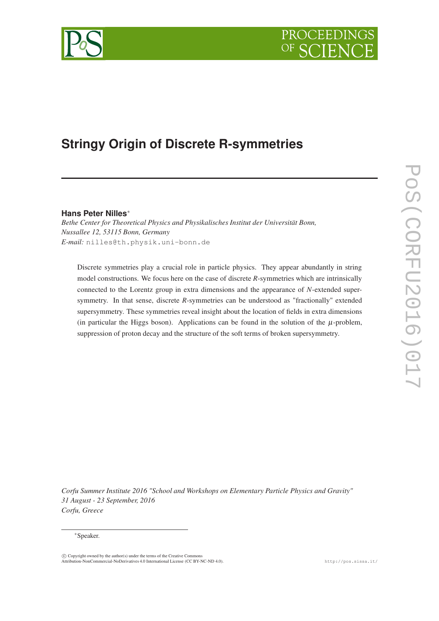



# **Stringy Origin of Discrete R-symmetries**

# **Hans Peter Nilles**<sup>∗</sup>

*Bethe Center for Theoretical Physics and Physikalisches Institut der Universität Bonn, Nussallee 12, 53115 Bonn, Germany E-mail:* nilles@th.physik.uni-bonn.de

Discrete symmetries play a crucial role in particle physics. They appear abundantly in string model constructions. We focus here on the case of discrete *R*-symmetries which are intrinsically connected to the Lorentz group in extra dimensions and the appearance of *N*-extended supersymmetry. In that sense, discrete *R*-symmetries can be understood as "fractionally" extended supersymmetry. These symmetries reveal insight about the location of fields in extra dimensions (in particular the Higgs boson). Applications can be found in the solution of the  $\mu$ -problem, suppression of proton decay and the structure of the soft terms of broken supersymmetry.

*Corfu Summer Institute 2016 "School and Workshops on Elementary Particle Physics and Gravity" 31 August - 23 September, 2016 Corfu, Greece*

#### <sup>∗</sup>Speaker.

c Copyright owned by the author(s) under the terms of the Creative Commons Attribution-NonCommercial-NoDerivatives 4.0 International License (CC BY-NC-ND 4.0). http://pos.sissa.it/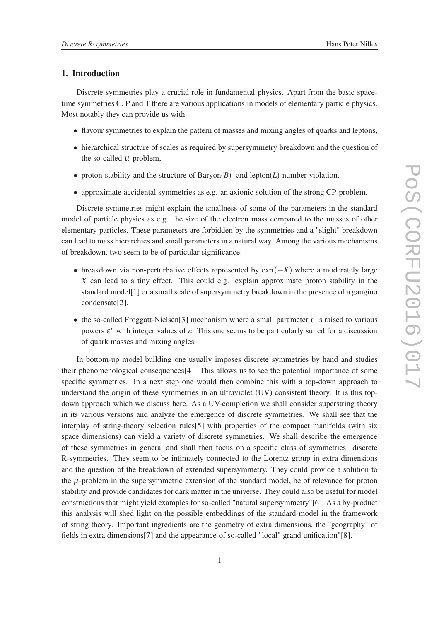## 1. Introduction

Discrete symmetries play a crucial role in fundamental physics. Apart from the basic spacetime symmetries C, P and T there are various applications in models of elementary particle physics. Most notably they can provide us with

- flavour symmetries to explain the pattern of masses and mixing angles of quarks and leptons,
- hierarchical structure of scales as required by supersymmetry breakdown and the question of the so-called  $\mu$ -problem,
- proton-stability and the structure of Baryon $(B)$  and lepton $(L)$ -number violation,
- approximate accidental symmetries as e.g. an axionic solution of the strong CP-problem.

Discrete symmetries might explain the smallness of some of the parameters in the standard model of particle physics as e.g. the size of the electron mass compared to the masses of other elementary particles. These parameters are forbidden by the symmetries and a "slight" breakdown can lead to mass hierarchies and small parameters in a natural way. Among the various mechanisms of breakdown, two seem to be of particular significance:

- breakdown via non-perturbative effects represented by exp(−*X*) where a moderately large *X* can lead to a tiny effect. This could e.g. explain approximate proton stability in the standard model[1] or a small scale of supersymmetry breakdown in the presence of a gaugino condensate[2],
- the so-called Froggatt-Nielsen<sup>[3]</sup> mechanism where a small parameter  $\varepsilon$  is raised to various powers  $\varepsilon^n$  with integer values of *n*. This one seems to be particularly suited for a discussion of quark masses and mixing angles.

In bottom-up model building one usually imposes discrete symmetries by hand and studies their phenomenological consequences[4]. This allows us to see the potential importance of some specific symmetries. In a next step one would then combine this with a top-down approach to understand the origin of these symmetries in an ultraviolet (UV) consistent theory. It is this topdown approach which we discuss here. As a UV-completion we shall consider superstring theory in its various versions and analyze the emergence of discrete symmetries. We shall see that the interplay of string-theory selection rules[5] with properties of the compact manifolds (with six space dimensions) can yield a variety of discrete symmetries. We shall describe the emergence of these symmetries in general and shall then focus on a specific class of symmetries: discrete R-symmetries. They seem to be intimately connected to the Lorentz group in extra dimensions and the question of the breakdown of extended supersymmetry. They could provide a solution to the µ-problem in the supersymmetric extension of the standard model, be of relevance for proton stability and provide candidates for dark matter in the universe. They could also be useful for model constructions that might yield examples for so-called "natural supersymmetry"[6]. As a by-product this analysis will shed light on the possible embeddings of the standard model in the framework of string theory. Important ingredients are the geometry of extra dimensions, the "geography" of fields in extra dimensions[7] and the appearance of so-called "local" grand unification"[8].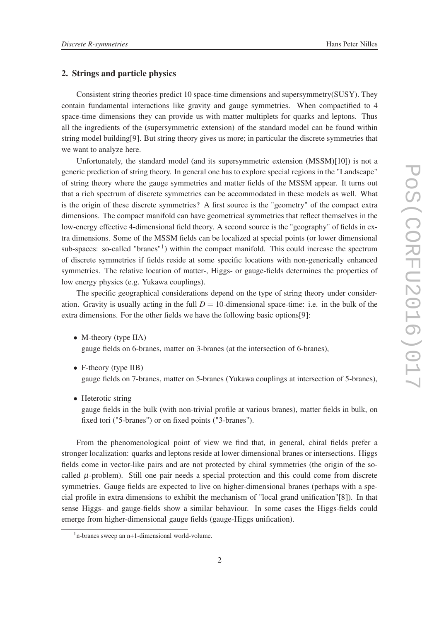## 2. Strings and particle physics

Consistent string theories predict 10 space-time dimensions and supersymmetry(SUSY). They contain fundamental interactions like gravity and gauge symmetries. When compactified to 4 space-time dimensions they can provide us with matter multiplets for quarks and leptons. Thus all the ingredients of the (supersymmetric extension) of the standard model can be found within string model building[9]. But string theory gives us more; in particular the discrete symmetries that we want to analyze here.

Unfortunately, the standard model (and its supersymmetric extension (MSSM)[10]) is not a generic prediction of string theory. In general one has to explore special regions in the "Landscape" of string theory where the gauge symmetries and matter fields of the MSSM appear. It turns out that a rich spectrum of discrete symmetries can be accommodated in these models as well. What is the origin of these discrete symmetries? A first source is the "geometry" of the compact extra dimensions. The compact manifold can have geometrical symmetries that reflect themselves in the low-energy effective 4-dimensional field theory. A second source is the "geography" of fields in extra dimensions. Some of the MSSM fields can be localized at special points (or lower dimensional sub-spaces: so-called "branes"<sup>1</sup>) within the compact manifold. This could increase the spectrum of discrete symmetries if fields reside at some specific locations with non-generically enhanced symmetries. The relative location of matter-, Higgs- or gauge-fields determines the properties of low energy physics (e.g. Yukawa couplings).

The specific geographical considerations depend on the type of string theory under consideration. Gravity is usually acting in the full  $D = 10$ -dimensional space-time: i.e. in the bulk of the extra dimensions. For the other fields we have the following basic options[9]:

- M-theory (type IIA) gauge fields on 6-branes, matter on 3-branes (at the intersection of 6-branes),
- F-theory (type IIB) gauge fields on 7-branes, matter on 5-branes (Yukawa couplings at intersection of 5-branes),
- Heterotic string

gauge fields in the bulk (with non-trivial profile at various branes), matter fields in bulk, on fixed tori ("5-branes") or on fixed points ("3-branes").

From the phenomenological point of view we find that, in general, chiral fields prefer a stronger localization: quarks and leptons reside at lower dimensional branes or intersections. Higgs fields come in vector-like pairs and are not protected by chiral symmetries (the origin of the socalled  $\mu$ -problem). Still one pair needs a special protection and this could come from discrete symmetries. Gauge fields are expected to live on higher-dimensional branes (perhaps with a special profile in extra dimensions to exhibit the mechanism of "local grand unification"[8]). In that sense Higgs- and gauge-fields show a similar behaviour. In some cases the Higgs-fields could emerge from higher-dimensional gauge fields (gauge-Higgs unification).

<sup>1</sup>n-branes sweep an n+1-dimensional world-volume.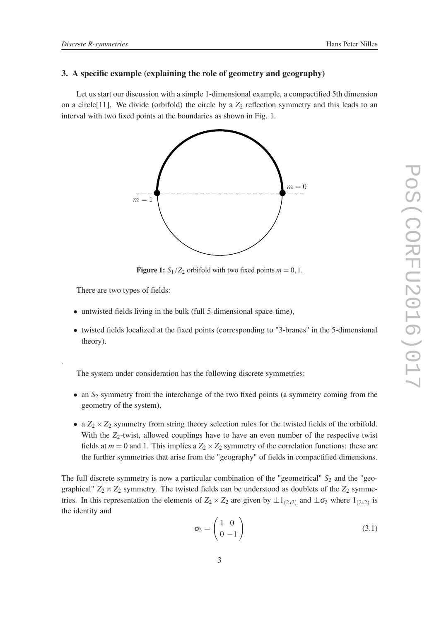### 3. A specific example (explaining the role of geometry and geography)

Let us start our discussion with a simple 1-dimensional example, a compactified 5th dimension on a circle<sup>[11]</sup>. We divide (orbifold) the circle by a  $Z_2$  reflection symmetry and this leads to an interval with two fixed points at the boundaries as shown in Fig. 1.



**Figure 1:**  $S_1/Z_2$  orbifold with two fixed points  $m = 0, 1$ .

There are two types of fields:

.

- untwisted fields living in the bulk (full 5-dimensional space-time),
- twisted fields localized at the fixed points (corresponding to "3-branes" in the 5-dimensional theory).

The system under consideration has the following discrete symmetries:

- an  $S_2$  symmetry from the interchange of the two fixed points (a symmetry coming from the geometry of the system),
- a  $Z_2 \times Z_2$  symmetry from string theory selection rules for the twisted fields of the orbifold. With the  $Z_2$ -twist, allowed couplings have to have an even number of the respective twist fields at  $m = 0$  and 1. This implies a  $Z_2 \times Z_2$  symmetry of the correlation functions: these are the further symmetries that arise from the "geography" of fields in compactified dimensions.

The full discrete symmetry is now a particular combination of the "geometrical"  $S_2$  and the "geographical"  $Z_2 \times Z_2$  symmetry. The twisted fields can be understood as doublets of the  $Z_2$  symmetries. In this representation the elements of  $Z_2 \times Z_2$  are given by  $\pm 1_{(2x^2)}$  and  $\pm \sigma_3$  where  $1_{(2x^2)}$  is the identity and

$$
\sigma_3 = \begin{pmatrix} 1 & 0 \\ 0 & -1 \end{pmatrix} \tag{3.1}
$$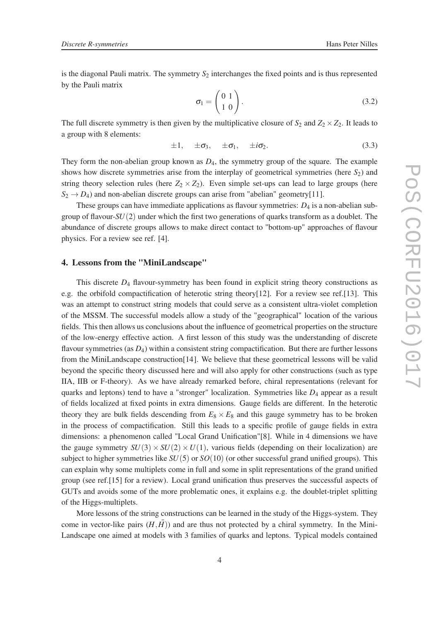is the diagonal Pauli matrix. The symmetry  $S_2$  interchanges the fixed points and is thus represented by the Pauli matrix

$$
\sigma_{\rm I} = \begin{pmatrix} 0 & 1 \\ 1 & 0 \end{pmatrix} . \tag{3.2}
$$

The full discrete symmetry is then given by the multiplicative closure of  $S_2$  and  $Z_2 \times Z_2$ . It leads to a group with 8 elements:

$$
\pm 1, \quad \pm \sigma_3, \quad \pm \sigma_1, \quad \pm i \sigma_2. \tag{3.3}
$$

They form the non-abelian group known as  $D_4$ , the symmetry group of the square. The example shows how discrete symmetries arise from the interplay of geometrical symmetries (here *S*2) and string theory selection rules (here  $Z_2 \times Z_2$ ). Even simple set-ups can lead to large groups (here  $S_2 \rightarrow D_4$ ) and non-abelian discrete groups can arise from "abelian" geometry[11].

These groups can have immediate applications as flavour symmetries:  $D_4$  is a non-abelian subgroup of flavour-*SU*(2) under which the first two generations of quarks transform as a doublet. The abundance of discrete groups allows to make direct contact to "bottom-up" approaches of flavour physics. For a review see ref. [4].

#### 4. Lessons from the "MiniLandscape"

This discrete  $D_4$  flavour-symmetry has been found in explicit string theory constructions as e.g. the orbifold compactification of heterotic string theory[12]. For a review see ref.[13]. This was an attempt to construct string models that could serve as a consistent ultra-violet completion of the MSSM. The successful models allow a study of the "geographical" location of the various fields. This then allows us conclusions about the influence of geometrical properties on the structure of the low-energy effective action. A first lesson of this study was the understanding of discrete flavour symmetries (as  $D_4$ ) within a consistent string compactification. But there are further lessons from the MiniLandscape construction[14]. We believe that these geometrical lessons will be valid beyond the specific theory discussed here and will also apply for other constructions (such as type IIA, IIB or F-theory). As we have already remarked before, chiral representations (relevant for quarks and leptons) tend to have a "stronger" localization. Symmetries like  $D_4$  appear as a result of fields localized at fixed points in extra dimensions. Gauge fields are different. In the heterotic theory they are bulk fields descending from  $E_8 \times E_8$  and this gauge symmetry has to be broken in the process of compactification. Still this leads to a specific profile of gauge fields in extra dimensions: a phenomenon called "Local Grand Unification"[8]. While in 4 dimensions we have the gauge symmetry  $SU(3) \times SU(2) \times U(1)$ , various fields (depending on their localization) are subject to higher symmetries like *SU*(5) or *SO*(10) (or other successful grand unified groups). This can explain why some multiplets come in full and some in split representations of the grand unified group (see ref.[15] for a review). Local grand unification thus preserves the successful aspects of GUTs and avoids some of the more problematic ones, it explains e.g. the doublet-triplet splitting of the Higgs-multiplets.

More lessons of the string constructions can be learned in the study of the Higgs-system. They come in vector-like pairs  $(H, \bar{H})$  and are thus not protected by a chiral symmetry. In the Mini-Landscape one aimed at models with 3 families of quarks and leptons. Typical models contained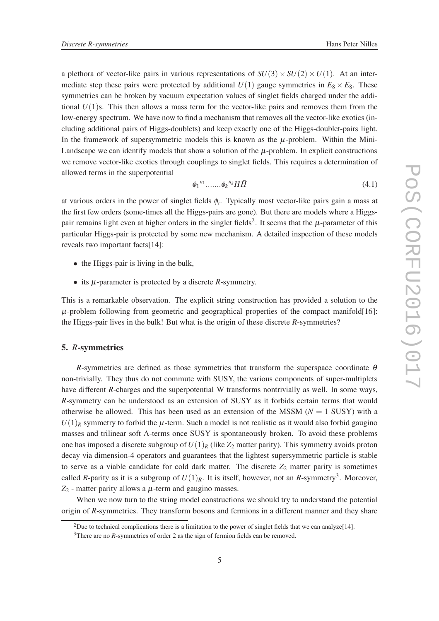a plethora of vector-like pairs in various representations of  $SU(3) \times SU(2) \times U(1)$ . At an intermediate step these pairs were protected by additional  $U(1)$  gauge symmetries in  $E_8 \times E_8$ . These symmetries can be broken by vacuum expectation values of singlet fields charged under the additional  $U(1)$ s. This then allows a mass term for the vector-like pairs and removes them from the low-energy spectrum. We have now to find a mechanism that removes all the vector-like exotics (including additional pairs of Higgs-doublets) and keep exactly one of the Higgs-doublet-pairs light. In the framework of supersymmetric models this is known as the  $\mu$ -problem. Within the Mini-Landscape we can identify models that show a solution of the  $\mu$ -problem. In explicit constructions we remove vector-like exotics through couplings to singlet fields. This requires a determination of allowed terms in the superpotential

$$
\phi_1^{n_1} \dots \dots \phi_k^{n_k} H\bar{H} \tag{4.1}
$$

at various orders in the power of singlet fields φ*<sup>i</sup>* . Typically most vector-like pairs gain a mass at the first few orders (some-times all the Higgs-pairs are gone). But there are models where a Higgspair remains light even at higher orders in the singlet fields<sup>2</sup>. It seems that the  $\mu$ -parameter of this particular Higgs-pair is protected by some new mechanism. A detailed inspection of these models reveals two important facts[14]:

- the Higgs-pair is living in the bulk,
- its <sup>µ</sup>-parameter is protected by a discrete *R*-symmetry.

This is a remarkable observation. The explicit string construction has provided a solution to the  $\mu$ -problem following from geometric and geographical properties of the compact manifold [16]: the Higgs-pair lives in the bulk! But what is the origin of these discrete *R*-symmetries?

### 5. *R*-symmetries

*R*-symmetries are defined as those symmetries that transform the superspace coordinate  $\theta$ non-trivially. They thus do not commute with SUSY, the various components of super-multiplets have different *R*-charges and the superpotential W transforms nontrivially as well. In some ways, *R*-symmetry can be understood as an extension of SUSY as it forbids certain terms that would otherwise be allowed. This has been used as an extension of the MSSM  $(N = 1$  SUSY) with a  $U(1)_R$  symmetry to forbid the  $\mu$ -term. Such a model is not realistic as it would also forbid gaugino masses and trilinear soft A-terms once SUSY is spontaneously broken. To avoid these problems one has imposed a discrete subgroup of  $U(1)_R$  (like  $Z_2$  matter parity). This symmetry avoids proton decay via dimension-4 operators and guarantees that the lightest supersymmetric particle is stable to serve as a viable candidate for cold dark matter. The discrete  $Z_2$  matter parity is sometimes called *R*-parity as it is a subgroup of  $U(1)_R$ . It is itself, however, not an *R*-symmetry<sup>3</sup>. Moreover,  $Z_2$  - matter parity allows a  $\mu$ -term and gaugino masses.

When we now turn to the string model constructions we should try to understand the potential origin of *R*-symmetries. They transform bosons and fermions in a different manner and they share

<sup>&</sup>lt;sup>2</sup>Due to technical complications there is a limitation to the power of singlet fields that we can analyze[14].

<sup>&</sup>lt;sup>3</sup>There are no *R*-symmetries of order 2 as the sign of fermion fields can be removed.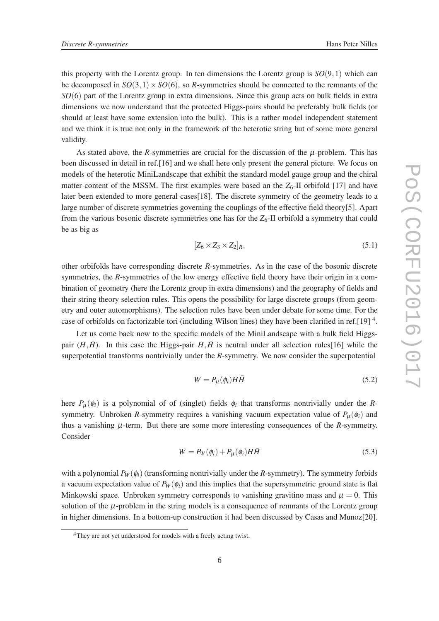this property with the Lorentz group. In ten dimensions the Lorentz group is  $SO(9,1)$  which can be decomposed in  $SO(3,1) \times SO(6)$ , so *R*-symmetries should be connected to the remnants of the *SO*(6) part of the Lorentz group in extra dimensions. Since this group acts on bulk fields in extra dimensions we now understand that the protected Higgs-pairs should be preferably bulk fields (or should at least have some extension into the bulk). This is a rather model independent statement and we think it is true not only in the framework of the heterotic string but of some more general validity.

As stated above, the *R*-symmetries are crucial for the discussion of the  $\mu$ -problem. This has been discussed in detail in ref.[16] and we shall here only present the general picture. We focus on models of the heterotic MiniLandscape that exhibit the standard model gauge group and the chiral matter content of the MSSM. The first examples were based an the  $Z_6$ -II orbifold [17] and have later been extended to more general cases[18]. The discrete symmetry of the geometry leads to a large number of discrete symmetries governing the couplings of the effective field theory[5]. Apart from the various bosonic discrete symmetries one has for the  $Z_6$ -II orbifold a symmetry that could be as big as

$$
[Z_6 \times Z_3 \times Z_2]_R, \tag{5.1}
$$

other orbifolds have corresponding discrete *R*-symmetries. As in the case of the bosonic discrete symmetries, the *R*-symmetries of the low energy effective field theory have their origin in a combination of geometry (here the Lorentz group in extra dimensions) and the geography of fields and their string theory selection rules. This opens the possibility for large discrete groups (from geometry and outer automorphisms). The selection rules have been under debate for some time. For the case of orbifolds on factorizable tori (including Wilson lines) they have been clarified in ref.[19]<sup>4</sup>.

Let us come back now to the specific models of the MiniLandscape with a bulk field Higgspair  $(H,\bar{H})$ . In this case the Higgs-pair  $H,\bar{H}$  is neutral under all selection rules [16] while the superpotential transforms nontrivially under the *R*-symmetry. We now consider the superpotential

$$
W = P_{\mu}(\phi_i) H \bar{H} \tag{5.2}
$$

here  $P_{\mu}(\phi_i)$  is a polynomial of of (singlet) fields  $\phi_i$  that transforms nontrivially under the *R*symmetry. Unbroken *R*-symmetry requires a vanishing vacuum expectation value of  $P_{\mu}(\phi_i)$  and thus a vanishing  $\mu$ -term. But there are some more interesting consequences of the  $R$ -symmetry. Consider

$$
W = P_W(\phi_i) + P_\mu(\phi_i) H \bar{H}
$$
\n<sup>(5.3)</sup>

with a polynomial  $P_W(\phi_i)$  (transforming nontrivially under the *R*-symmetry). The symmetry forbids a vacuum expectation value of  $P_W(\phi_i)$  and this implies that the supersymmetric ground state is flat Minkowski space. Unbroken symmetry corresponds to vanishing gravitino mass and  $\mu = 0$ . This solution of the  $\mu$ -problem in the string models is a consequence of remnants of the Lorentz group in higher dimensions. In a bottom-up construction it had been discussed by Casas and Munoz[20].

<sup>&</sup>lt;sup>4</sup>They are not yet understood for models with a freely acting twist.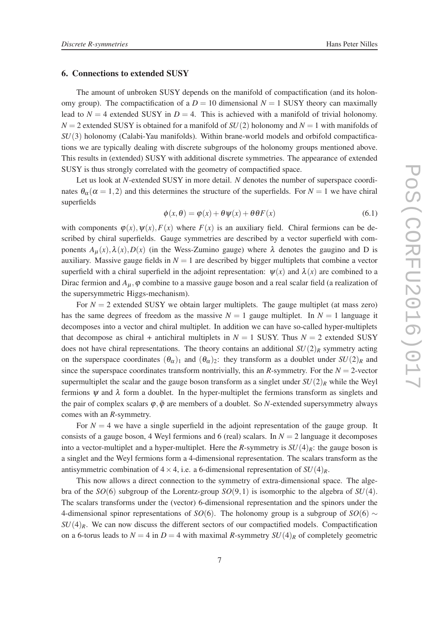#### 6. Connections to extended SUSY

The amount of unbroken SUSY depends on the manifold of compactification (and its holonomy group). The compactification of a  $D = 10$  dimensional  $N = 1$  SUSY theory can maximally lead to  $N = 4$  extended SUSY in  $D = 4$ . This is achieved with a manifold of trivial holonomy.  $N = 2$  extended SUSY is obtained for a manifold of  $SU(2)$  holonomy and  $N = 1$  with manifolds of *SU*(3) holonomy (Calabi-Yau manifolds). Within brane-world models and orbifold compactifications we are typically dealing with discrete subgroups of the holonomy groups mentioned above. This results in (extended) SUSY with additional discrete symmetries. The appearance of extended SUSY is thus strongly correlated with the geometry of compactified space.

Let us look at *N*-extended SUSY in more detail. *N* denotes the number of superspace coordinates  $\theta_{\alpha}$  ( $\alpha = 1, 2$ ) and this determines the structure of the superfields. For  $N = 1$  we have chiral superfields

$$
\phi(x,\theta) = \phi(x) + \theta \psi(x) + \theta \theta F(x) \tag{6.1}
$$

with components  $\varphi(x)$ ,  $\psi(x)$ ,  $F(x)$  where  $F(x)$  is an auxiliary field. Chiral fermions can be described by chiral superfields. Gauge symmetries are described by a vector superfield with components  $A_\mu(x)$ ,  $\lambda(x)$ ,  $D(x)$  (in the Wess-Zumino gauge) where  $\lambda$  denotes the gaugino and D is auxiliary. Massive gauge fields in  $N = 1$  are described by bigger multiplets that combine a vector superfield with a chiral superfield in the adjoint representation:  $\psi(x)$  and  $\lambda(x)$  are combined to a Dirac fermion and  $A_{\mu}$ ,  $\varphi$  combine to a massive gauge boson and a real scalar field (a realization of the supersymmetric Higgs-mechanism).

For  $N = 2$  extended SUSY we obtain larger multiplets. The gauge multiplet (at mass zero) has the same degrees of freedom as the massive  $N = 1$  gauge multiplet. In  $N = 1$  language it decomposes into a vector and chiral multiplet. In addition we can have so-called hyper-multiplets that decompose as chiral + antichiral multiplets in  $N = 1$  SUSY. Thus  $N = 2$  extended SUSY does not have chiral representations. The theory contains an additional  $SU(2)_R$  symmetry acting on the superspace coordinates  $(\theta_{\alpha})_1$  and  $(\theta_{\alpha})_2$ : they transform as a doublet under  $SU(2)_R$  and since the superspace coordinates transform nontrivially, this an *R*-symmetry. For the  $N = 2$ -vector supermultiplet the scalar and the gauge boson transform as a singlet under  $SU(2)_R$  while the Weyl fermions  $\psi$  and  $\lambda$  form a doublet. In the hyper-multiplet the fermions transform as singlets and the pair of complex scalars  $\varphi$ ,  $\bar{\varphi}$  are members of a doublet. So *N*-extended supersymmetry always comes with an *R*-symmetry.

For  $N = 4$  we have a single superfield in the adjoint representation of the gauge group. It consists of a gauge boson, 4 Weyl fermions and 6 (real) scalars. In  $N = 2$  language it decomposes into a vector-multiplet and a hyper-multiplet. Here the *R*-symmetry is  $SU(4)_R$ : the gauge boson is a singlet and the Weyl fermions form a 4-dimensional representation. The scalars transform as the antisymmetric combination of  $4 \times 4$ , i.e. a 6-dimensional representation of  $SU(4)_R$ .

This now allows a direct connection to the symmetry of extra-dimensional space. The algebra of the  $SO(6)$  subgroup of the Lorentz-group  $SO(9,1)$  is isomorphic to the algebra of  $SU(4)$ . The scalars transforms under the (vector) 6-dimensional representation and the spinors under the 4-dimensional spinor representations of *SO*(6). The holonomy group is a subgroup of *SO*(6) ∼  $SU(4)_R$ . We can now discuss the different sectors of our compactified models. Compactification on a 6-torus leads to  $N = 4$  in  $D = 4$  with maximal *R*-symmetry  $SU(4)_R$  of completely geometric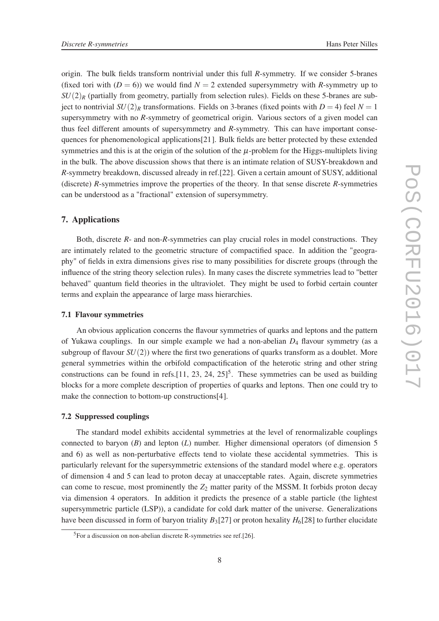origin. The bulk fields transform nontrivial under this full *R*-symmetry. If we consider 5-branes (fixed tori with  $(D = 6)$ ) we would find  $N = 2$  extended supersymmetry with *R*-symmetry up to  $SU(2)_R$  (partially from geometry, partially from selection rules). Fields on these 5-branes are subject to nontrivial  $SU(2)_R$  transformations. Fields on 3-branes (fixed points with  $D = 4$ ) feel  $N = 1$ supersymmetry with no *R*-symmetry of geometrical origin. Various sectors of a given model can thus feel different amounts of supersymmetry and *R*-symmetry. This can have important consequences for phenomenological applications[21]. Bulk fields are better protected by these extended symmetries and this is at the origin of the solution of the  $\mu$ -problem for the Higgs-multiplets living in the bulk. The above discussion shows that there is an intimate relation of SUSY-breakdown and *R*-symmetry breakdown, discussed already in ref.[22]. Given a certain amount of SUSY, additional (discrete) *R*-symmetries improve the properties of the theory. In that sense discrete *R*-symmetries can be understood as a "fractional" extension of supersymmetry.

## 7. Applications

Both, discrete *R*- and non-*R*-symmetries can play crucial roles in model constructions. They are intimately related to the geometric structure of compactified space. In addition the "geography" of fields in extra dimensions gives rise to many possibilities for discrete groups (through the influence of the string theory selection rules). In many cases the discrete symmetries lead to "better behaved" quantum field theories in the ultraviolet. They might be used to forbid certain counter terms and explain the appearance of large mass hierarchies.

## 7.1 Flavour symmetries

An obvious application concerns the flavour symmetries of quarks and leptons and the pattern of Yukawa couplings. In our simple example we had a non-abelian *D*<sup>4</sup> flavour symmetry (as a subgroup of flavour  $SU(2)$ ) where the first two generations of quarks transform as a doublet. More general symmetries within the orbifold compactification of the heterotic string and other string constructions can be found in refs. [11, 23, 24,  $25$ ]<sup>5</sup>. These symmetries can be used as building blocks for a more complete description of properties of quarks and leptons. Then one could try to make the connection to bottom-up constructions[4].

## 7.2 Suppressed couplings

The standard model exhibits accidental symmetries at the level of renormalizable couplings connected to baryon (*B*) and lepton (*L*) number. Higher dimensional operators (of dimension 5 and 6) as well as non-perturbative effects tend to violate these accidental symmetries. This is particularly relevant for the supersymmetric extensions of the standard model where e.g. operators of dimension 4 and 5 can lead to proton decay at unacceptable rates. Again, discrete symmetries can come to rescue, most prominently the  $Z_2$  matter parity of the MSSM. It forbids proton decay via dimension 4 operators. In addition it predicts the presence of a stable particle (the lightest supersymmetric particle (LSP)), a candidate for cold dark matter of the universe. Generalizations have been discussed in form of baryon triality  $B_3[27]$  or proton hexality  $H_6[28]$  to further elucidate

 $5$ For a discussion on non-abelian discrete R-symmetries see ref.[26].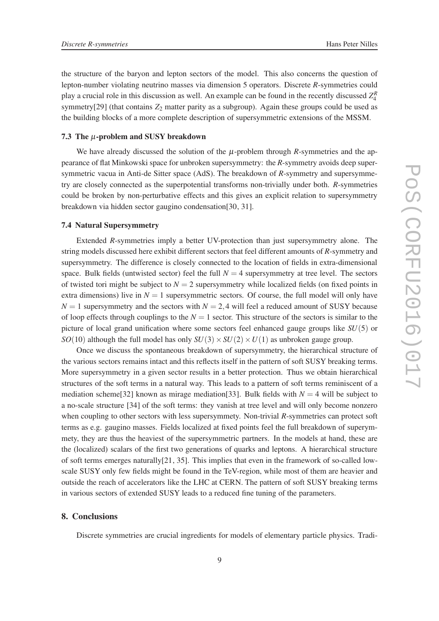the structure of the baryon and lepton sectors of the model. This also concerns the question of lepton-number violating neutrino masses via dimension 5 operators. Discrete *R*-symmetries could play a crucial role in this discussion as well. An example can be found in the recently discussed  $Z_4^R$ symmetry[29] (that contains  $Z_2$  matter parity as a subgroup). Again these groups could be used as the building blocks of a more complete description of supersymmetric extensions of the MSSM.

## 7.3 The  $\mu$ -problem and SUSY breakdown

We have already discussed the solution of the  $\mu$ -problem through *R*-symmetries and the appearance of flat Minkowski space for unbroken supersymmetry: the *R*-symmetry avoids deep supersymmetric vacua in Anti-de Sitter space (AdS). The breakdown of *R*-symmetry and supersymmetry are closely connected as the superpotential transforms non-trivially under both. *R*-symmetries could be broken by non-perturbative effects and this gives an explicit relation to supersymmetry breakdown via hidden sector gaugino condensation[30, 31].

#### 7.4 Natural Supersymmetry

Extended *R*-symmetries imply a better UV-protection than just supersymmetry alone. The string models discussed here exhibit different sectors that feel different amounts of *R*-symmetry and supersymmetry. The difference is closely connected to the location of fields in extra-dimensional space. Bulk fields (untwisted sector) feel the full  $N = 4$  supersymmetry at tree level. The sectors of twisted tori might be subject to  $N = 2$  supersymmetry while localized fields (on fixed points in extra dimensions) live in  $N = 1$  supersymmetric sectors. Of course, the full model will only have  $N = 1$  supersymmetry and the sectors with  $N = 2.4$  will feel a reduced amount of SUSY because of loop effects through couplings to the  $N = 1$  sector. This structure of the sectors is similar to the picture of local grand unification where some sectors feel enhanced gauge groups like *SU*(5) or *SO*(10) although the full model has only  $SU(3) \times SU(2) \times U(1)$  as unbroken gauge group.

Once we discuss the spontaneous breakdown of supersymmetry, the hierarchical structure of the various sectors remains intact and this reflects itself in the pattern of soft SUSY breaking terms. More supersymmetry in a given sector results in a better protection. Thus we obtain hierarchical structures of the soft terms in a natural way. This leads to a pattern of soft terms reminiscent of a mediation scheme<sup>[32]</sup> known as mirage mediation<sup>[33]</sup>. Bulk fields with  $N = 4$  will be subject to a no-scale structure [34] of the soft terms: they vanish at tree level and will only become nonzero when coupling to other sectors with less supersymmety. Non-trivial *R*-symmetries can protect soft terms as e.g. gaugino masses. Fields localized at fixed points feel the full breakdown of superymmety, they are thus the heaviest of the supersymmetric partners. In the models at hand, these are the (localized) scalars of the first two generations of quarks and leptons. A hierarchical structure of soft terms emerges naturally[21, 35]. This implies that even in the framework of so-called lowscale SUSY only few fields might be found in the TeV-region, while most of them are heavier and outside the reach of accelerators like the LHC at CERN. The pattern of soft SUSY breaking terms in various sectors of extended SUSY leads to a reduced fine tuning of the parameters.

#### 8. Conclusions

Discrete symmetries are crucial ingredients for models of elementary particle physics. Tradi-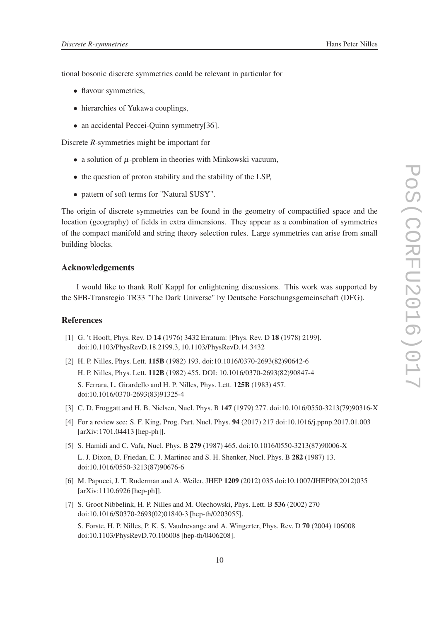tional bosonic discrete symmetries could be relevant in particular for

- flavour symmetries,
- hierarchies of Yukawa couplings,
- an accidental Peccei-Quinn symmetry[36].

Discrete *R*-symmetries might be important for

- a solution of  $\mu$ -problem in theories with Minkowski vacuum,
- the question of proton stability and the stability of the LSP,
- pattern of soft terms for "Natural SUSY".

The origin of discrete symmetries can be found in the geometry of compactified space and the location (geography) of fields in extra dimensions. They appear as a combination of symmetries of the compact manifold and string theory selection rules. Large symmetries can arise from small building blocks.

#### Acknowledgements

I would like to thank Rolf Kappl for enlightening discussions. This work was supported by the SFB-Transregio TR33 "The Dark Universe" by Deutsche Forschungsgemeinschaft (DFG).

### References

- [1] G. 't Hooft, Phys. Rev. D 14 (1976) 3432 Erratum: [Phys. Rev. D 18 (1978) 2199]. doi:10.1103/PhysRevD.18.2199.3, 10.1103/PhysRevD.14.3432
- [2] H. P. Nilles, Phys. Lett. 115B (1982) 193. doi:10.1016/0370-2693(82)90642-6 H. P. Nilles, Phys. Lett. 112B (1982) 455. DOI: 10.1016/0370-2693(82)90847-4 S. Ferrara, L. Girardello and H. P. Nilles, Phys. Lett. 125B (1983) 457. doi:10.1016/0370-2693(83)91325-4
- [3] C. D. Froggatt and H. B. Nielsen, Nucl. Phys. B 147 (1979) 277. doi:10.1016/0550-3213(79)90316-X
- [4] For a review see: S. F. King, Prog. Part. Nucl. Phys. 94 (2017) 217 doi:10.1016/j.ppnp.2017.01.003 [arXiv:1701.04413 [hep-ph]].
- [5] S. Hamidi and C. Vafa, Nucl. Phys. B 279 (1987) 465. doi:10.1016/0550-3213(87)90006-X

L. J. Dixon, D. Friedan, E. J. Martinec and S. H. Shenker, Nucl. Phys. B 282 (1987) 13. doi:10.1016/0550-3213(87)90676-6

- [6] M. Papucci, J. T. Ruderman and A. Weiler, JHEP 1209 (2012) 035 doi:10.1007/JHEP09(2012)035 [arXiv:1110.6926 [hep-ph]].
- [7] S. Groot Nibbelink, H. P. Nilles and M. Olechowski, Phys. Lett. B 536 (2002) 270 doi:10.1016/S0370-2693(02)01840-3 [hep-th/0203055].

S. Forste, H. P. Nilles, P. K. S. Vaudrevange and A. Wingerter, Phys. Rev. D 70 (2004) 106008 doi:10.1103/PhysRevD.70.106008 [hep-th/0406208].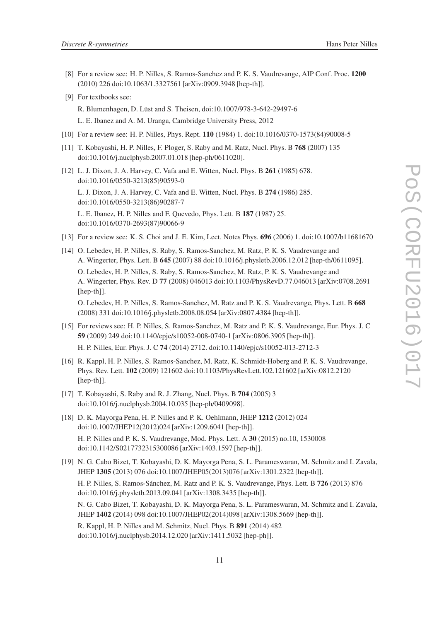- [8] For a review see: H. P. Nilles, S. Ramos-Sanchez and P. K. S. Vaudrevange, AIP Conf. Proc. 1200 (2010) 226 doi:10.1063/1.3327561 [arXiv:0909.3948 [hep-th]].
- [9] For textbooks see:

R. Blumenhagen, D. Lüst and S. Theisen, doi:10.1007/978-3-642-29497-6 L. E. Ibanez and A. M. Uranga, Cambridge University Press, 2012

- [10] For a review see: H. P. Nilles, Phys. Rept. 110 (1984) 1. doi:10.1016/0370-1573(84)90008-5
- [11] T. Kobayashi, H. P. Nilles, F. Ploger, S. Raby and M. Ratz, Nucl. Phys. B 768 (2007) 135 doi:10.1016/j.nuclphysb.2007.01.018 [hep-ph/0611020].
- [12] L. J. Dixon, J. A. Harvey, C. Vafa and E. Witten, Nucl. Phys. B 261 (1985) 678. doi:10.1016/0550-3213(85)90593-0 L. J. Dixon, J. A. Harvey, C. Vafa and E. Witten, Nucl. Phys. B 274 (1986) 285.

doi:10.1016/0550-3213(86)90287-7 L. E. Ibanez, H. P. Nilles and F. Quevedo, Phys. Lett. B 187 (1987) 25.

doi:10.1016/0370-2693(87)90066-9

- [13] For a review see: K. S. Choi and J. E. Kim, Lect. Notes Phys. 696 (2006) 1. doi:10.1007/b11681670
- [14] O. Lebedev, H. P. Nilles, S. Raby, S. Ramos-Sanchez, M. Ratz, P. K. S. Vaudrevange and A. Wingerter, Phys. Lett. B 645 (2007) 88 doi:10.1016/j.physletb.2006.12.012 [hep-th/0611095]. O. Lebedev, H. P. Nilles, S. Raby, S. Ramos-Sanchez, M. Ratz, P. K. S. Vaudrevange and A. Wingerter, Phys. Rev. D 77 (2008) 046013 doi:10.1103/PhysRevD.77.046013 [arXiv:0708.2691 [hep-th]]. O. Lebedev, H. P. Nilles, S. Ramos-Sanchez, M. Ratz and P. K. S. Vaudrevange, Phys. Lett. B 668

(2008) 331 doi:10.1016/j.physletb.2008.08.054 [arXiv:0807.4384 [hep-th]].

- [15] For reviews see: H. P. Nilles, S. Ramos-Sanchez, M. Ratz and P. K. S. Vaudrevange, Eur. Phys. J. C 59 (2009) 249 doi:10.1140/epjc/s10052-008-0740-1 [arXiv:0806.3905 [hep-th]]. H. P. Nilles, Eur. Phys. J. C 74 (2014) 2712. doi:10.1140/epjc/s10052-013-2712-3
- [16] R. Kappl, H. P. Nilles, S. Ramos-Sanchez, M. Ratz, K. Schmidt-Hoberg and P. K. S. Vaudrevange, Phys. Rev. Lett. 102 (2009) 121602 doi:10.1103/PhysRevLett.102.121602 [arXiv:0812.2120 [hep-th]].
- [17] T. Kobayashi, S. Raby and R. J. Zhang, Nucl. Phys. B 704 (2005) 3 doi:10.1016/j.nuclphysb.2004.10.035 [hep-ph/0409098].
- [18] D. K. Mayorga Pena, H. P. Nilles and P. K. Oehlmann, JHEP 1212 (2012) 024 doi:10.1007/JHEP12(2012)024 [arXiv:1209.6041 [hep-th]]. H. P. Nilles and P. K. S. Vaudrevange, Mod. Phys. Lett. A 30 (2015) no.10, 1530008 doi:10.1142/S0217732315300086 [arXiv:1403.1597 [hep-th]].
- [19] N. G. Cabo Bizet, T. Kobayashi, D. K. Mayorga Pena, S. L. Parameswaran, M. Schmitz and I. Zavala, JHEP 1305 (2013) 076 doi:10.1007/JHEP05(2013)076 [arXiv:1301.2322 [hep-th]].

H. P. Nilles, S. Ramos-Sánchez, M. Ratz and P. K. S. Vaudrevange, Phys. Lett. B 726 (2013) 876 doi:10.1016/j.physletb.2013.09.041 [arXiv:1308.3435 [hep-th]].

N. G. Cabo Bizet, T. Kobayashi, D. K. Mayorga Pena, S. L. Parameswaran, M. Schmitz and I. Zavala, JHEP 1402 (2014) 098 doi:10.1007/JHEP02(2014)098 [arXiv:1308.5669 [hep-th]].

R. Kappl, H. P. Nilles and M. Schmitz, Nucl. Phys. B 891 (2014) 482 doi:10.1016/j.nuclphysb.2014.12.020 [arXiv:1411.5032 [hep-ph]].